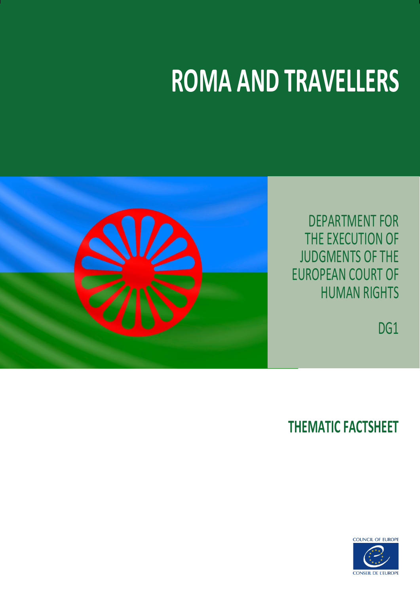# **ROMA AND TRAVELLERS**



DEPARTMENT FOR THE EXECUTION OF JUDGMENTS OF THE EUROPEAN COURT OF HUMAN RIGHTS

DG<sub>1</sub>

# **THEMATIC FACTSHEET**

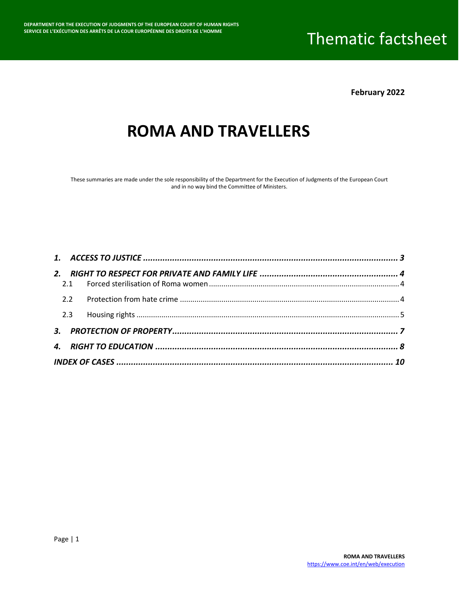**February 2022**

### **ROMA AND TRAVELLERS**

These summaries are made under the sole responsibility of the Department for the Execution of Judgments of the European Court and in no way bind the Committee of Ministers.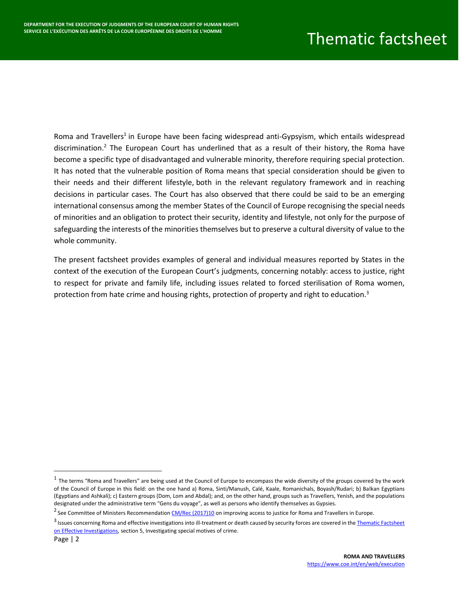Roma and Travellers<sup>1</sup> in Europe have been facing widespread anti-Gypsyism, which entails widespread discrimination.<sup>2</sup> The European Court has underlined that as a result of their history, the Roma have become a specific type of disadvantaged and vulnerable minority, therefore requiring special protection. It has noted that the vulnerable position of Roma means that special consideration should be given to their needs and their different lifestyle, both in the relevant regulatory framework and in reaching decisions in particular cases. The Court has also observed that there could be said to be an emerging international consensus among the member States of the Council of Europe recognising the special needs of minorities and an obligation to protect their security, identity and lifestyle, not only for the purpose of safeguarding the interests of the minorities themselves but to preserve a cultural diversity of value to the whole community.

The present factsheet provides examples of general and individual measures reported by States in the context of the execution of the European Court's judgments, concerning notably: access to justice, right to respect for private and family life, including issues related to forced sterilisation of Roma women, protection from hate crime and housing rights, protection of property and right to education.<sup>3</sup>

l

 $^1$  The terms "Roma and Travellers" are being used at the Council of Europe to encompass the wide diversity of the groups covered by the work of the Council of Europe in this field: on the one hand a) Roma, Sinti/Manush, Calé, Kaale, Romanichals, Boyash/Rudari; b) Balkan Egyptians (Egyptians and Ashkali); c) Eastern groups (Dom, Lom and Abdal); and, on the other hand, groups such as Travellers, Yenish, and the populations designated under the administrative term "Gens du voyage", as well as persons who identify themselves as Gypsies.

<sup>&</sup>lt;sup>2</sup> See Committee of Ministers Recommendatio[n CM/Rec \(2017\)10](https://search.coe.int/cm/Pages/result_details.aspx?ObjectId=090000168075f2aa) on improving access to justice for Roma and Travellers in Europe.

<sup>&</sup>lt;sup>3</sup> Issues concerning Roma and effective investigations into ill-treatment or death caused by security forces are covered in the Thematic Factsheet [on Effective Investigations,](https://rm.coe.int/thematic-factsheet-effective-investigations-eng/16809ef841) section 5, Investigating special motives of crime.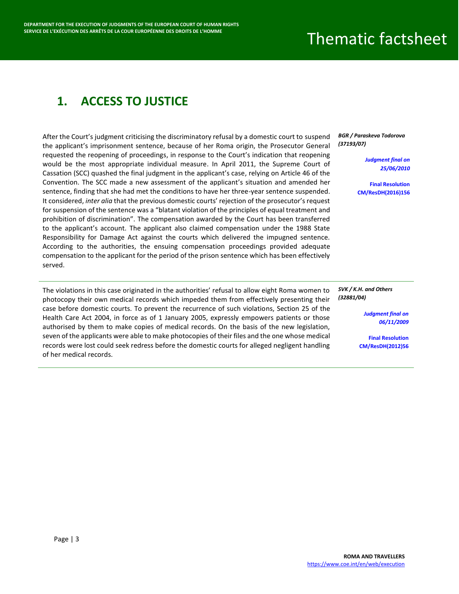### <span id="page-3-0"></span>**1. ACCESS TO JUSTICE**

After the Court's judgment criticising the discriminatory refusal by a domestic court to suspend the applicant's imprisonment sentence, because of her Roma origin, the Prosecutor General requested the reopening of proceedings, in response to the Court's indication that reopening would be the most appropriate individual measure. In April 2011, the Supreme Court of Cassation (SCC) quashed the final judgment in the applicant's case, relying on Article 46 of the Convention. The SCC made a new assessment of the applicant's situation and amended her sentence, finding that she had met the conditions to have her three-year sentence suspended. It considered, *inter alia* that the previous domestic courts' rejection of the prosecutor's request for suspension of the sentence was a "blatant violation of the principles of equal treatment and prohibition of discrimination". The compensation awarded by the Court has been transferred to the applicant's account. The applicant also claimed compensation under the 1988 State Responsibility for Damage Act against the courts which delivered the impugned sentence. According to the authorities, the ensuing compensation proceedings provided adequate compensation to the applicant for the period of the prison sentence which has been effectively served.

The violations in this case originated in the authorities' refusal to allow eight Roma women to photocopy their own medical records which impeded them from effectively presenting their case before domestic courts. To prevent the recurrence of such violations, Section 25 of the Health Care Act 2004, in force as of 1 January 2005, expressly empowers patients or those authorised by them to make copies of medical records. On the basis of the new legislation, seven of the applicants were able to make photocopies of their files and the one whose medical records were lost could seek redress before the domestic courts for alleged negligent handling of her medical records.

*BGR / Paraskeva Todorova (37193/07)*

> *[Judgment final on](https://hudoc.echr.coe.int/eng?i=001-98210)  [25/06/2010](https://hudoc.echr.coe.int/eng?i=001-98210)*

**[Final Resolution](https://hudoc.exec.coe.int/eng?i=001-164878)  [CM/ResDH\(2016\)156](https://hudoc.exec.coe.int/eng?i=001-164878)**

*SVK / K.H. and Others (32881/04)*

> *[Judgment final on](https://hudoc.echr.coe.int/fre?i=001-92418)  [06/11/2009](https://hudoc.echr.coe.int/fre?i=001-92418)*

**[Final Resolution](https://hudoc.exec.coe.int/eng?i=001-109742)  [CM/ResDH\(2012\)56](https://hudoc.exec.coe.int/eng?i=001-109742)**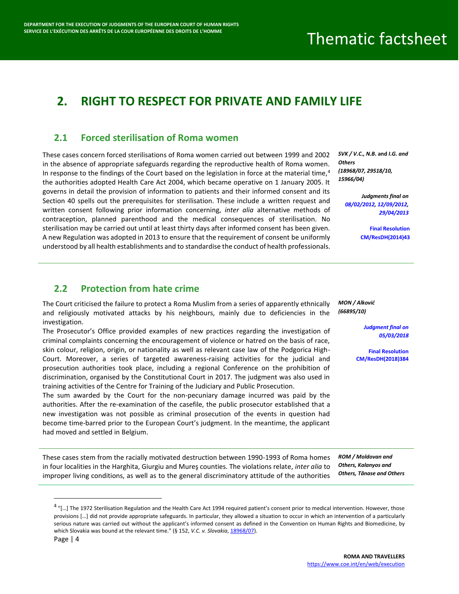### <span id="page-4-0"></span>**2. RIGHT TO RESPECT FOR PRIVATE AND FAMILY LIFE**

#### <span id="page-4-1"></span>**2.1 Forced sterilisation of Roma women**

These cases concern forced sterilisations of Roma women carried out between 1999 and 2002 in the absence of appropriate safeguards regarding the reproductive health of Roma women. In response to the findings of the Court based on the legislation in force at the material time, $4$ the authorities adopted Health Care Act 2004, which became operative on 1 January 2005. It governs in detail the provision of information to patients and their informed consent and its Section 40 spells out the prerequisites for sterilisation. These include a written request and written consent following prior information concerning, *inter alia* alternative methods of contraception, planned parenthood and the medical consequences of sterilisation. No sterilisation may be carried out until at least thirty days after informed consent has been given. A new Regulation was adopted in 2013 to ensure that the requirement of consent be uniformly understood by all health establishments and to standardise the conduct of health professionals.

*SVK / V.C., N.B.* **and** *I.G. and Others (18968/07, 29518/10, 15966/04)*

> *Judgments final on [08/02/2012,](https://hudoc.echr.coe.int/fre?i=001-107364) [12/09/2012,](https://hudoc.echr.coe.int/fre?i=001-111427) [29/04/2013](https://hudoc.echr.coe.int/fre?i=001-114514)*

> > **[Final Resolution](https://hudoc.exec.coe.int/eng?i=001-142706)  [CM/ResDH\(2014\)43](https://hudoc.exec.coe.int/eng?i=001-142706)**

#### <span id="page-4-2"></span>**2.2 Protection from hate crime**

The Court criticised the failure to protect a Roma Muslim from a series of apparently ethnically and religiously motivated attacks by his neighbours, mainly due to deficiencies in the investigation.

The Prosecutor's Office provided examples of new practices regarding the investigation of criminal complaints concerning the encouragement of violence or hatred on the basis of race, skin colour, religion, origin, or nationality as well as relevant case law of the Podgorica High-Court. Moreover, a series of targeted awareness-raising activities for the judicial and prosecution authorities took place, including a regional Conference on the prohibition of discrimination, organised by the Constitutional Court in 2017. The judgment was also used in training activities of the Centre for Training of the Judiciary and Public Prosecution.

The sum awarded by the Court for the non-pecuniary damage incurred was paid by the authorities. After the re-examination of the casefile, the public prosecutor established that a new investigation was not possible as criminal prosecution of the events in question had become time-barred prior to the European Court's judgment. In the meantime, the applicant had moved and settled in Belgium.

These cases stem from the racially motivated destruction between 1990-1993 of Roma homes in four localities in the Harghita, Giurgiu and Mureş counties. The violations relate, *inter alia* to improper living conditions, as well as to the general discriminatory attitude of the authorities

*MON / Alković (66895/10)*

> *[Judgment final on](https://hudoc.echr.coe.int/eng?i=001-179216)  [05/03/2018](https://hudoc.echr.coe.int/eng?i=001-179216)*

**[Final Resolution](https://hudoc.exec.coe.int/eng?i=001-187386)  [CM/ResDH\(2018\)384](https://hudoc.exec.coe.int/eng?i=001-187386)**

*ROM / Moldovan and Others, Kalanyos and Others, Tănase and Others*

 $\overline{\phantom{a}}$ 

 $^4$  "[...] The 1972 Sterilisation Regulation and the Health Care Act 1994 required patient's consent prior to medical intervention. However, those provisions […] did not provide appropriate safeguards. In particular, they allowed a situation to occur in which an intervention of a particularly serious nature was carried out without the applicant's informed consent as defined in the Convention on Human Rights and Biomedicine, by which Slovakia was bound at the relevant time." (§ 152, *V.C. v. Slovakia*[, 18968/07\)](https://hudoc.echr.coe.int/eng?i=001-107364).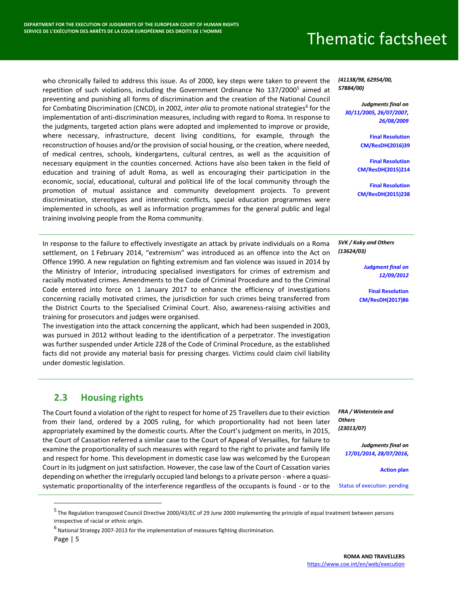who chronically failed to address this issue. As of 2000, key steps were taken to prevent the repetition of such violations, including the Government Ordinance No  $137/2000^5$  aimed at preventing and punishing all forms of discrimination and the creation of the National Council for Combating Discrimination (CNCD), in 2002, *inter alia* to promote national strategies<sup>6</sup> for the implementation of anti-discrimination measures, including with regard to Roma. In response to the judgments, targeted action plans were adopted and implemented to improve or provide, where necessary, infrastructure, decent living conditions, for example, through the reconstruction of houses and/or the provision of social housing, or the creation, where needed, of medical centres, schools, kindergartens, cultural centres, as well as the acquisition of necessary equipment in the counties concerned. Actions have also been taken in the field of education and training of adult Roma, as well as encouraging their participation in the economic, social, educational, cultural and political life of the local community through the promotion of mutual assistance and community development projects. To prevent discrimination, stereotypes and interethnic conflicts, special education programmes were implemented in schools, as well as information programmes for the general public and legal training involving people from the Roma community.

In response to the failure to effectively investigate an attack by private individuals on a Roma settlement, on 1 February 2014, "extremism" was introduced as an offence into the Act on Offence 1990. A new regulation on fighting extremism and fan violence was issued in 2014 by the Ministry of Interior, introducing specialised investigators for crimes of extremism and racially motivated crimes. Amendments to the Code of Criminal Procedure and to the Criminal Code entered into force on 1 January 2017 to enhance the efficiency of investigations concerning racially motivated crimes, the jurisdiction for such crimes being transferred from the District Courts to the Specialised Criminal Court. Also, awareness-raising activities and training for prosecutors and judges were organised.

The investigation into the attack concerning the applicant, which had been suspended in 2003, was pursued in 2012 without leading to the identification of a perpetrator. The investigation was further suspended under Article 228 of the Code of Criminal Procedure, as the established facts did not provide any material basis for pressing charges. Victims could claim civil liability under domestic legislation.

#### <span id="page-5-0"></span>**2.3 Housing rights**

The Court found a violation of the right to respect for home of 25 Travellers due to their eviction from their land, ordered by a 2005 ruling, for which proportionality had not been later appropriately examined by the domestic courts. After the Court's judgment on merits, in 2015, the Court of Cassation referred a similar case to the Court of Appeal of Versailles, for failure to examine the proportionality of such measures with regard to the right to private and family life and respect for home. This development in domestic case law was welcomed by the European Court in its judgment on just satisfaction. However, the case law of the Court of Cassation varies depending on whether the irregularly occupied land belongs to a private person - where a quasisystematic proportionality of the interference regardless of the occupants is found - or to the

*(41138/98, 62954/00, 57884/00)*

> *Judgments final on [30/11/2005,](https://hudoc.echr.coe.int/eng?i=001-69670) [26/07/2007,](https://hudoc.echr.coe.int/fre?i=001-80274) [26/08/2009](https://hudoc.echr.coe.int/fre?i=001-92661)*

> > **[Final Resolution](https://hudoc.exec.coe.int/ENG?i=001-161718)  [CM/ResDH\(2016\)39](https://hudoc.exec.coe.int/ENG?i=001-161718)**

**[Final Resolution](https://hudoc.exec.coe.int/eng?i=001-159358)  [CM/ResDH\(2015\)214](https://hudoc.exec.coe.int/eng?i=001-159358)**

**[Final Resolution](https://hudoc.exec.coe.int/eng?i=001-159608)  [CM/ResDH\(2015\)238](https://hudoc.exec.coe.int/eng?i=001-159608)**

*SVK / Koky and Others (13624/03)*

> *[Judgment final on](https://hudoc.echr.coe.int/fre?i=001-111410)  [12/09/2012](https://hudoc.echr.coe.int/fre?i=001-111410)*

**Final [Resolution](https://hudoc.exec.coe.int/eng?i=001-172491)  [CM/ResDH\(2017\)86](https://hudoc.exec.coe.int/eng?i=001-172491)**

*FRA / Winterstein and Others (23013/07)*

> *Judgments final on [17/01/2014,](https://hudoc.echr.coe.int/eng?i=001-127539) [28/07/2016,](https://hudoc.echr.coe.int/eng?i=001-162215)*

> > **[Action plan](https://hudoc.exec.coe.int/eng?i=DH-DD(2021)296F)**

[Status of execution: pending](https://hudoc.exec.coe.int/ENG?i=004-28444)

 $\overline{a}$ 

<sup>&</sup>lt;sup>5</sup> The Regulation transposed Council Directive 2000/43/EC of 29 June 2000 implementing the principle of equal treatment between persons irrespective of racial or ethnic origin.

 $^6$  National Strategy 2007-2013 for the implementation of measures fighting discrimination.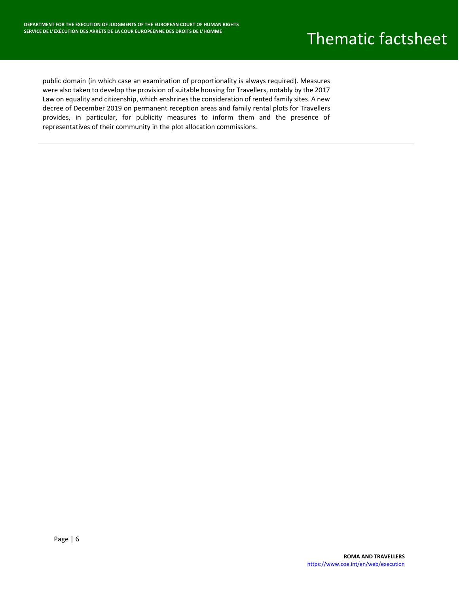public domain (in which case an examination of proportionality is always required). Measures were also taken to develop the provision of suitable housing for Travellers, notably by the 2017 Law on equality and citizenship, which enshrines the consideration of rented family sites. A new decree of December 2019 on permanent reception areas and family rental plots for Travellers provides, in particular, for publicity measures to inform them and the presence of representatives of their community in the plot allocation commissions.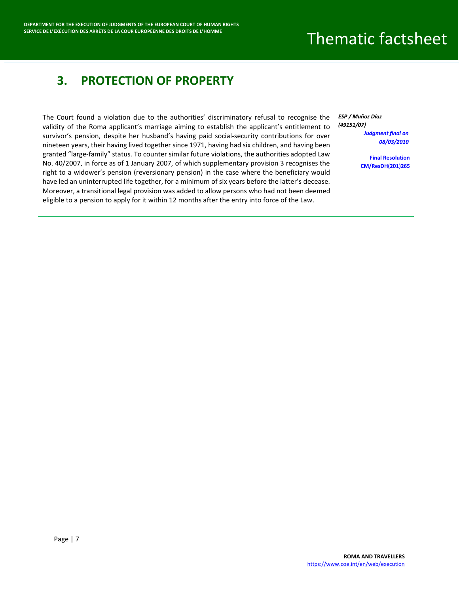#### <span id="page-7-0"></span>**3. PROTECTION OF PROPERTY**

The Court found a violation due to the authorities' discriminatory refusal to recognise the validity of the Roma applicant's marriage aiming to establish the applicant's entitlement to survivor's pension, despite her husband's having paid social-security contributions for over nineteen years, their having lived together since 1971, having had six children, and having been granted "large-family" status. To counter similar future violations, the authorities adopted Law No. 40/2007, in force as of 1 January 2007, of which supplementary provision 3 recognises the right to a widower's pension (reversionary pension) in the case where the beneficiary would have led an uninterrupted life together, for a minimum of six years before the latter's decease. Moreover, a transitional legal provision was added to allow persons who had not been deemed eligible to a pension to apply for it within 12 months after the entry into force of the Law.

*ESP / Muñoz Díaz (49151/07) [Judgment final on](https://hudoc.echr.coe.int/eng?i=001-96100)  [08/03/2010](https://hudoc.echr.coe.int/eng?i=001-96100)*

> **[Final Resolution](https://hudoc.echr.coe.int/eng?i=001-108319)  [CM/ResDH\(201\)265](https://hudoc.echr.coe.int/eng?i=001-108319)**

Page | 7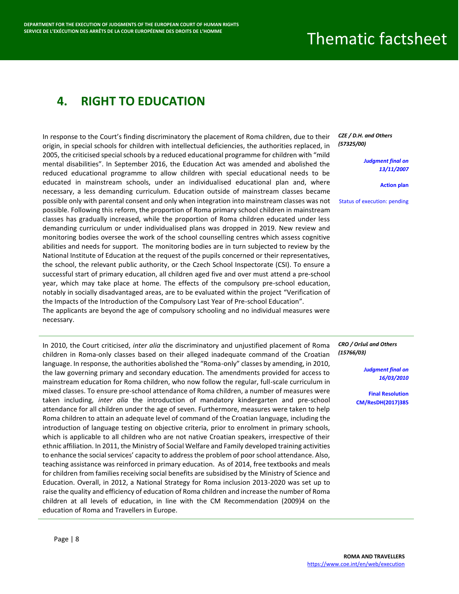#### <span id="page-8-0"></span>**4. RIGHT TO EDUCATION**

In response to the Court's finding discriminatory the placement of Roma children, due to their origin, in special schools for children with intellectual deficiencies, the authorities replaced, in 2005, the criticised special schools by a reduced educational programme for children with "mild mental disabilities". In September 2016, the Education Act was amended and abolished the reduced educational programme to allow children with special educational needs to be educated in mainstream schools, under an individualised educational plan and, where necessary, a less demanding curriculum. Education outside of mainstream classes became possible only with parental consent and only when integration into mainstream classes was not possible. Following this reform, the proportion of Roma primary school children in mainstream classes has gradually increased, while the proportion of Roma children educated under less demanding curriculum or under individualised plans was dropped in 2019. New review and monitoring bodies oversee the work of the school counselling centres which assess cognitive abilities and needs for support. The monitoring bodies are in turn subjected to review by the National Institute of Education at the request of the pupils concerned or their representatives, the school, the relevant public authority, or the Czech School Inspectorate (CSI). To ensure a successful start of primary education, all children aged five and over must attend a pre-school year, which may take place at home. The effects of the compulsory pre-school education, notably in socially disadvantaged areas, are to be evaluated within the project "Verification of the Impacts of the Introduction of the Compulsory Last Year of Pre-school Education". The applicants are beyond the age of compulsory schooling and no individual measures were necessary.

In 2010, the Court criticised, *inter alia* the discriminatory and unjustified placement of Roma children in Roma-only classes based on their alleged inadequate command of the Croatian language. In response, the authorities abolished the "Roma-only" classes by amending, in 2010, the law governing primary and secondary education. The amendments provided for access to mainstream education for Roma children, who now follow the regular, full-scale curriculum in mixed classes. To ensure pre-school attendance of Roma children, a number of measures were taken including, *inter alia* the introduction of mandatory kindergarten and pre-school attendance for all children under the age of seven. Furthermore, measures were taken to help Roma children to attain an adequate level of command of the Croatian language, including the introduction of language testing on objective criteria, prior to enrolment in primary schools, which is applicable to all children who are not native Croatian speakers, irrespective of their ethnic affiliation. In 2011, the Ministry of Social Welfare and Family developed training activities to enhance the social services' capacity to address the problem of poor school attendance. Also, teaching assistance was reinforced in primary education. As of 2014, free textbooks and meals for children from families receiving social benefits are subsidised by the Ministry of Science and Education. Overall, in 2012, a National Strategy for Roma inclusion 2013-2020 was set up to raise the quality and efficiency of education of Roma children and increase the number of Roma children at all levels of education, in line with the CM Recommendation (2009)4 on the education of Roma and Travellers in Europe.

#### *CZE / D.H. and Others (57325/00)*

*[Judgment final on](https://hudoc.echr.coe.int/fre?i=001-83256)  [13/11/2007](https://hudoc.echr.coe.int/fre?i=001-83256)*

**[Action plan](https://hudoc.exec.coe.int/eng?i=DH-DD(2020)868E)**

[Status of execution: pending](https://hudoc.exec.coe.int/ENG?i=004-31)

*CRO / Oršuš and Others (15766/03)*

> *[Judgment final on](https://hudoc.echr.coe.int/eng?i=001-97689)  [16/03/2010](https://hudoc.echr.coe.int/eng?i=001-97689)*

**[Final Resolution](https://hudoc.exec.coe.int/eng?i=001-179336)  [CM/ResDH\(2017\)385](https://hudoc.exec.coe.int/eng?i=001-179336)**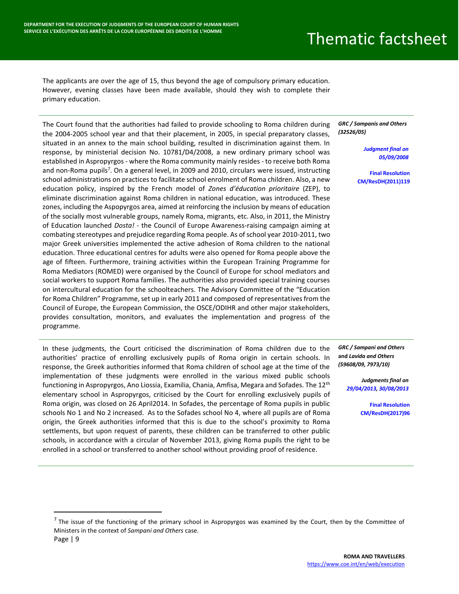The applicants are over the age of 15, thus beyond the age of compulsory primary education. However, evening classes have been made available, should they wish to complete their primary education.

The Court found that the authorities had failed to provide schooling to Roma children during the 2004-2005 school year and that their placement, in 2005, in special preparatory classes, situated in an annex to the main school building, resulted in discrimination against them. In response, by ministerial decision No. 10781/D4/2008, a new ordinary primary school was established in Aspropyrgos - where the Roma community mainly resides - to receive both Roma and non-Roma pupils<sup>7</sup>. On a general level, in 2009 and 2010, circulars were issued, instructing school administrations on practices to facilitate school enrolment of Roma children. Also, a new education policy, inspired by the French model of *Zones d'éducation prioritaire* (ZEP), to eliminate discrimination against Roma children in national education, was introduced. These zones, including the Aspopyrgos area, aimed at reinforcing the inclusion by means of education of the socially most vulnerable groups, namely Roma, migrants, etc. Also, in 2011, the Ministry of Education launched *Dosta!* - the Council of Europe Awareness-raising campaign aiming at combating stereotypes and prejudice regarding Roma people. As of school year 2010-2011, two major Greek universities implemented the active adhesion of Roma children to the national education. Three educational centres for adults were also opened for Roma people above the age of fifteen. Furthermore, training activities within the European Training Programme for Roma Mediators (ROMED) were organised by the Council of Europe for school mediators and social workers to support Roma families. The authorities also provided special training courses on intercultural education for the schoolteachers. The Advisory Committee of the "Education for Roma Children" Programme, set up in early 2011 and composed of representatives from the Council of Europe, the European Commission, the OSCE/ODIHR and other major stakeholders, provides consultation, monitors, and evaluates the implementation and progress of the programme.

In these judgments, the Court criticised the discrimination of Roma children due to the authorities' practice of enrolling exclusively pupils of Roma origin in certain schools. In response, the Greek authorities informed that Roma children of school age at the time of the implementation of these judgments were enrolled in the various mixed public schools functioning in Aspropyrgos, Ano Liossia, Examilia, Chania, Amfisa, Megara and Sofades. The 12<sup>th</sup> elementary school in Aspropyrgos, criticised by the Court for enrolling exclusively pupils of Roma origin, was closed on 26 April2014. In Sofades, the percentage of Roma pupils in public schools No 1 and No 2 increased. As to the Sofades school No 4, where all pupils are of Roma origin, the Greek authorities informed that this is due to the school's proximity to Roma settlements, but upon request of parents, these children can be transferred to other public schools, in accordance with a circular of November 2013, giving Roma pupils the right to be enrolled in a school or transferred to another school without providing proof of residence.

*GRC / Sampanis and Others (32526/05)*

> *[Judgment final on](https://hudoc.echr.coe.int/eng?i=001-86798)  [05/09/2008](https://hudoc.echr.coe.int/eng?i=001-86798)*

**[Final Resolution](https://hudoc.exec.coe.int/eng?i=001-106912)  [CM/ResDH\(2011\)119](https://hudoc.exec.coe.int/eng?i=001-106912)**

*GRC / Sampani and Others*  **and** *Lavida and Others (59608/09, 7973/10)*

> *Judgments final on [29/04/2013,](https://hudoc.echr.coe.int/fre?i=001-115493) [30/08/2013](https://hudoc.echr.coe.int/fre?i=001-120188)*

> > **[Final Resolution](https://hudoc.exec.coe.int/eng?i=001-172490)  [CM/ResDH\(2017\)96](https://hudoc.exec.coe.int/eng?i=001-172490)**

 $\overline{\phantom{a}}$ 

 $^7$  The issue of the functioning of the primary school in Aspropyrgos was examined by the Court, then by the Committee of Ministers in the context of *Sampani and Others* case.